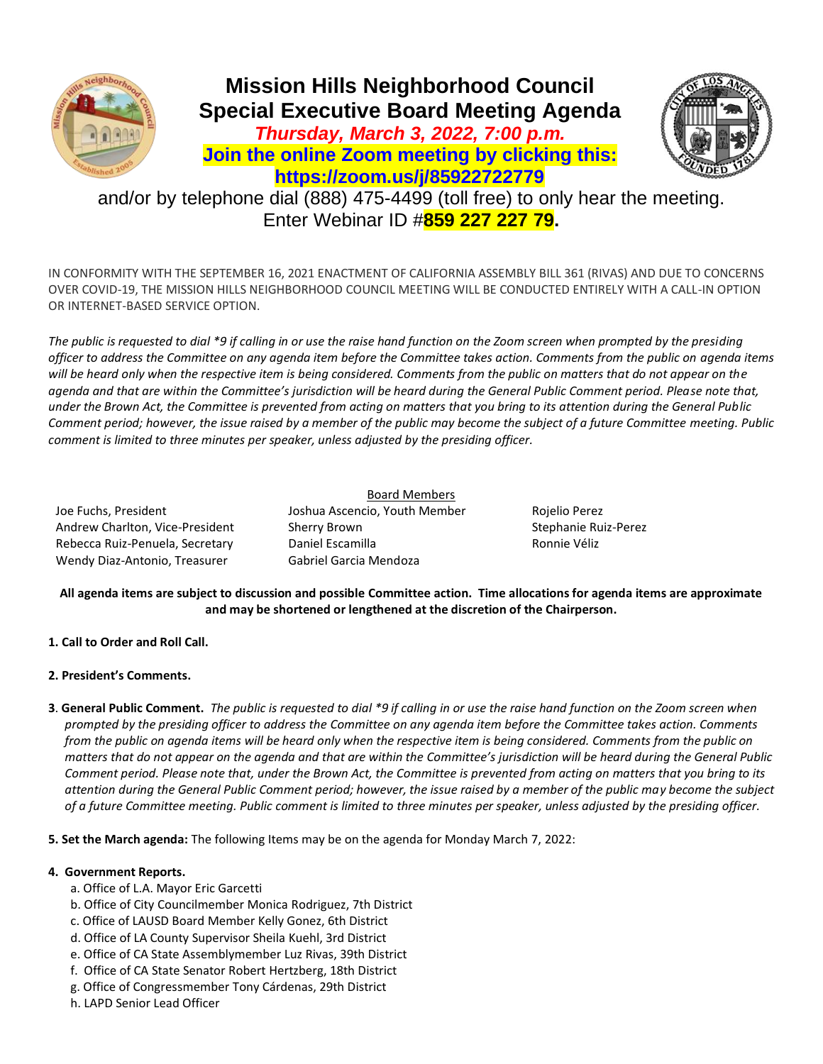



and/or by telephone dial (888) 475-4499 (toll free) to only hear the meeting. Enter Webinar ID #**859 227 227 79.**

IN CONFORMITY WITH THE SEPTEMBER 16, 2021 ENACTMENT OF CALIFORNIA ASSEMBLY BILL 361 (RIVAS) AND DUE TO CONCERNS OVER COVID-19, THE MISSION HILLS NEIGHBORHOOD COUNCIL MEETING WILL BE CONDUCTED ENTIRELY WITH A CALL-IN OPTION OR INTERNET-BASED SERVICE OPTION.

*The public is requested to dial \*9 if calling in or use the raise hand function on the Zoom screen when prompted by the presiding officer to address the Committee on any agenda item before the Committee takes action. Comments from the public on agenda items will be heard only when the respective item is being considered. Comments from the public on matters that do not appear on the agenda and that are within the Committee's jurisdiction will be heard during the General Public Comment period. Please note that, under the Brown Act, the Committee is prevented from acting on matters that you bring to its attention during the General Public Comment period; however, the issue raised by a member of the public may become the subject of a future Committee meeting. Public comment is limited to three minutes per speaker, unless adjusted by the presiding officer.* 

Joe Fuchs, President Joshua Ascencio, Youth Member Rojelio Perez Andrew Charlton, Vice-President Sherry Brown Stephanie Ruiz-Perez Rebecca Ruiz-Penuela, Secretary **Daniel Escamilla** Ronnie Véliz Wendy Diaz-Antonio, Treasurer Gabriel Garcia Mendoza

Board Members

**All agenda items are subject to discussion and possible Committee action. Time allocations for agenda items are approximate and may be shortened or lengthened at the discretion of the Chairperson.**

- **1. Call to Order and Roll Call.**
- **2. President's Comments.**
- **3**. **General Public Comment.** *The public is requested to dial \*9 if calling in or use the raise hand function on the Zoom screen when prompted by the presiding officer to address the Committee on any agenda item before the Committee takes action. Comments from the public on agenda items will be heard only when the respective item is being considered. Comments from the public on matters that do not appear on the agenda and that are within the Committee's jurisdiction will be heard during the General Public Comment period. Please note that, under the Brown Act, the Committee is prevented from acting on matters that you bring to its attention during the General Public Comment period; however, the issue raised by a member of the public may become the subject of a future Committee meeting. Public comment is limited to three minutes per speaker, unless adjusted by the presiding officer.*

**5. Set the March agenda:** The following Items may be on the agenda for Monday March 7, 2022:

# **4. Government Reports.**

- a. Office of L.A. Mayor Eric Garcetti
- b. Office of City Councilmember Monica Rodriguez, 7th District
- c. Office of LAUSD Board Member Kelly Gonez, 6th District
- d. Office of LA County Supervisor Sheila Kuehl, 3rd District
- e. Office of CA State Assemblymember Luz Rivas, 39th District
- f. Office of CA State Senator Robert Hertzberg, 18th District
- g. Office of Congressmember Tony Cárdenas, 29th District
- h. LAPD Senior Lead Officer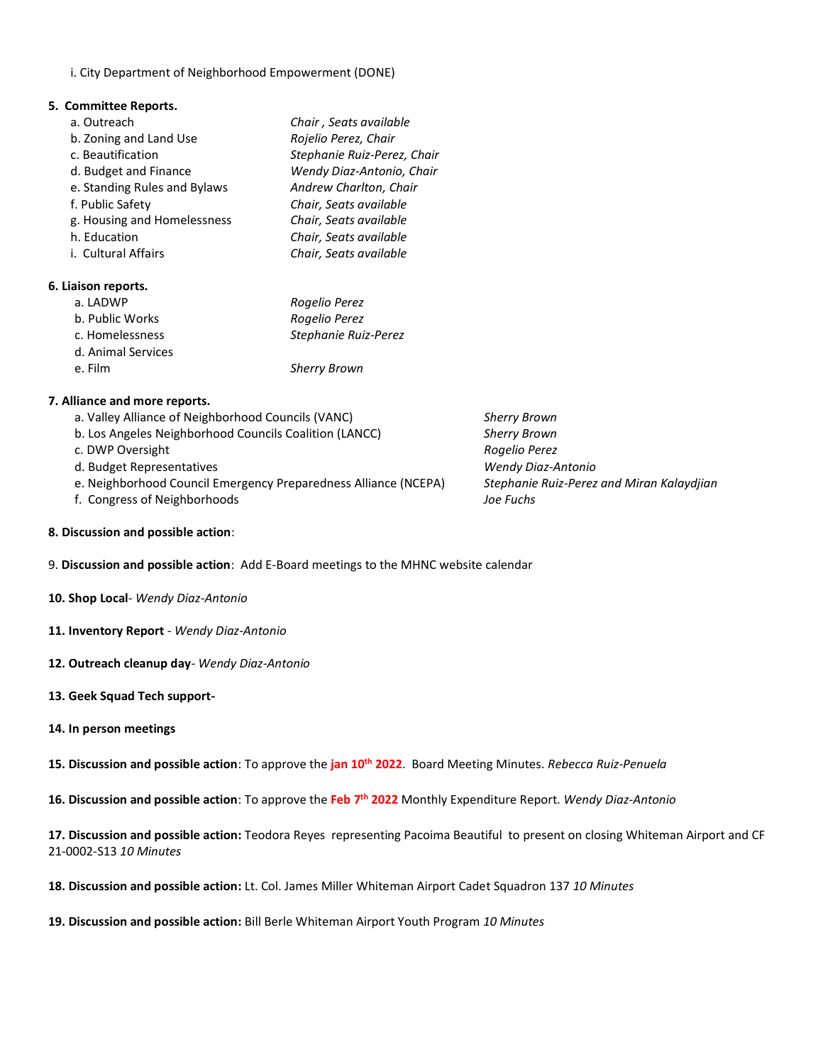i. City Department of Neighborhood Empowerment (DONE)

#### **5. Committee Reports.**

| a. Outreach                  | Chair, Seats available      |
|------------------------------|-----------------------------|
| b. Zoning and Land Use       | Rojelio Perez, Chair        |
| c. Beautification            | Stephanie Ruiz-Perez, Chair |
| d. Budget and Finance        | Wendy Diaz-Antonio, Chair   |
| e. Standing Rules and Bylaws | Andrew Charlton, Chair      |
| f. Public Safety             | Chair, Seats available      |
| g. Housing and Homelessness  | Chair, Seats available      |
| h. Education                 | Chair, Seats available      |
| i. Cultural Affairs          | Chair, Seats available      |
|                              |                             |

#### **6. Liaison reports.**

| a. LADWP           | Rogelio Perez        |
|--------------------|----------------------|
| b. Public Works    | Rogelio Perez        |
| c. Homelessness    | Stephanie Ruiz-Perez |
| d. Animal Services |                      |
| e. Film            | <b>Sherry Brown</b>  |

### **7. Alliance and more reports.**

- a. Valley Alliance of Neighborhood Councils (VANC) *Sherry Brown* b. Los Angeles Neighborhood Councils Coalition (LANCC) *Sherry Brown*
- c. DWP Oversight *Rogelio Perez*
- d. Budget Representatives *Wendy Diaz-Antonio*
- e. Neighborhood Council Emergency Preparedness Alliance (NCEPA) *Stephanie Ruiz-Perez and Miran Kalaydjian*
- f. Congress of Neighborhoods *Joe Fuchs*
- 

- **8. Discussion and possible action**:
- 9. **Discussion and possible action**: Add E-Board meetings to the MHNC website calendar
- **10. Shop Local***- Wendy Diaz-Antonio*
- **11. Inventory Report** *- Wendy Diaz-Antonio*
- **12. Outreach cleanup day***- Wendy Diaz-Antonio*
- **13. Geek Squad Tech support-**

## **14. In person meetings**

**15. Discussion and possible action**: To approve the **jan 10th 2022**. Board Meeting Minutes. *Rebecca Ruiz-Penuela* 

**16. Discussion and possible action**: To approve the **Feb 7th 2022** Monthly Expenditure Report. *Wendy Diaz-Antonio* 

**17. Discussion and possible action:** Teodora Reyes representing Pacoima Beautiful to present on closing Whiteman Airport and CF 21-0002-S13 *10 Minutes*

**18. Discussion and possible action:** Lt. Col. James Miller Whiteman Airport Cadet Squadron 137 *10 Minutes*

**19. Discussion and possible action:** Bill Berle Whiteman Airport Youth Program *10 Minutes*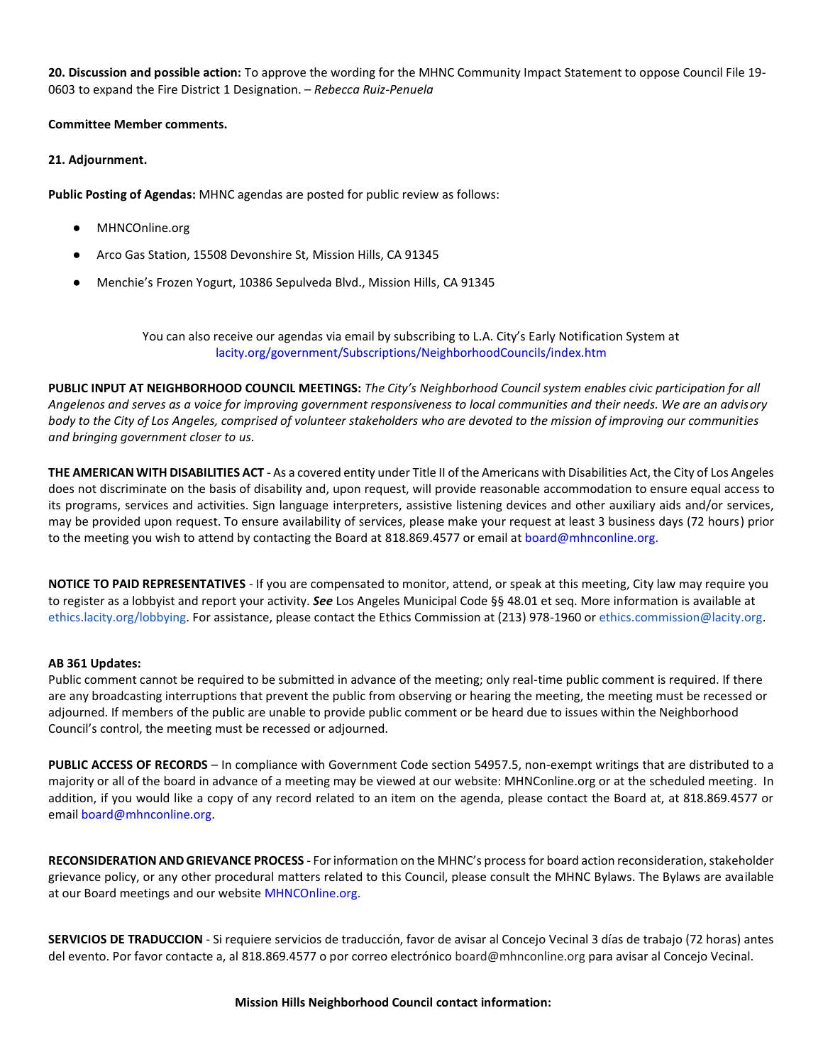**20. Discussion and possible action:** To approve the wording for the MHNC Community Impact Statement to oppose Council File 19- 0603 to expand the Fire District 1 Designation. – *Rebecca Ruiz-Penuela* 

# **Committee Member comments.**

# **21. Adjournment.**

**Public Posting of Agendas:** MHNC agendas are posted for public review as follows:

- MHNCOnline.org
- Arco Gas Station, 15508 Devonshire St, Mission Hills, CA 91345
- Menchie's Frozen Yogurt, 10386 Sepulveda Blvd., Mission Hills, CA 91345

You can also receive our agendas via email by subscribing to L.A. City's Early Notification System at [lacity.org/government/Subscriptions/NeighborhoodCouncils/index.htm](http://www.lacity.org/government/Subscriptions/NeighborhoodCouncils/index.htm)

**PUBLIC INPUT AT NEIGHBORHOOD COUNCIL MEETINGS:** *The City's Neighborhood Council system enables civic participation for all Angelenos and serves as a voice for improving government responsiveness to local communities and their needs. We are an advisory body to the City of Los Angeles, comprised of volunteer stakeholders who are devoted to the mission of improving our communities and bringing government closer to us.* 

**THE AMERICAN WITH DISABILITIES ACT** - As a covered entity under Title II of the Americans with Disabilities Act, the City of Los Angeles does not discriminate on the basis of disability and, upon request, will provide reasonable accommodation to ensure equal access to its programs, services and activities. Sign language interpreters, assistive listening devices and other auxiliary aids and/or services, may be provided upon request. To ensure availability of services, please make your request at least 3 business days (72 hours) prior to the meeting you wish to attend by contacting the Board at 818.869.4577 or email a[t board@mhnconline.org.](mailto:board@mhnconline.org)

**NOTICE TO PAID REPRESENTATIVES** - If you are compensated to monitor, attend, or speak at this meeting, City law may require you to register as a lobbyist and report your activity. *See* Los Angeles Municipal Code §§ 48.01 et seq. More information is available at [ethics.lacity.org/lobbying.](http://ethics.lacity.org/lobbying) For assistance, please contact the Ethics Commission at (213) 978-1960 or [ethics.commission@lacity.org.](mailto:ethics.commission@lacity.org)

### **AB 361 Updates:**

Public comment cannot be required to be submitted in advance of the meeting; only real-time public comment is required. If there are any broadcasting interruptions that prevent the public from observing or hearing the meeting, the meeting must be recessed or adjourned. If members of the public are unable to provide public comment or be heard due to issues within the Neighborhood Council's control, the meeting must be recessed or adjourned.

**PUBLIC ACCESS OF RECORDS** – In compliance with Government Code section 54957.5, non-exempt writings that are distributed to a majority or all of the board in advance of a meeting may be viewed at our website: MHNConline.org or at the scheduled meeting. In addition, if you would like a copy of any record related to an item on the agenda, please contact the Board at, at 818.869.4577 or emai[l board@mhnconline.org.](mailto:board@mhnconline.org)

**RECONSIDERATION AND GRIEVANCE PROCESS** - For information on the MHNC's process for board action reconsideration, stakeholder grievance policy, or any other procedural matters related to this Council, please consult the MHNC Bylaws. The Bylaws are available at our Board meetings and our website [MHNCOnline.org.](about:blank)

**SERVICIOS DE TRADUCCION** - Si requiere servicios de traducción, favor de avisar al Concejo Vecinal 3 días de trabajo (72 horas) antes del evento. Por favor contacte a, al 818.869.4577 o por correo electrónico board@mhnconline.org para avisar al Concejo Vecinal.

### **Mission Hills Neighborhood Council contact information:**